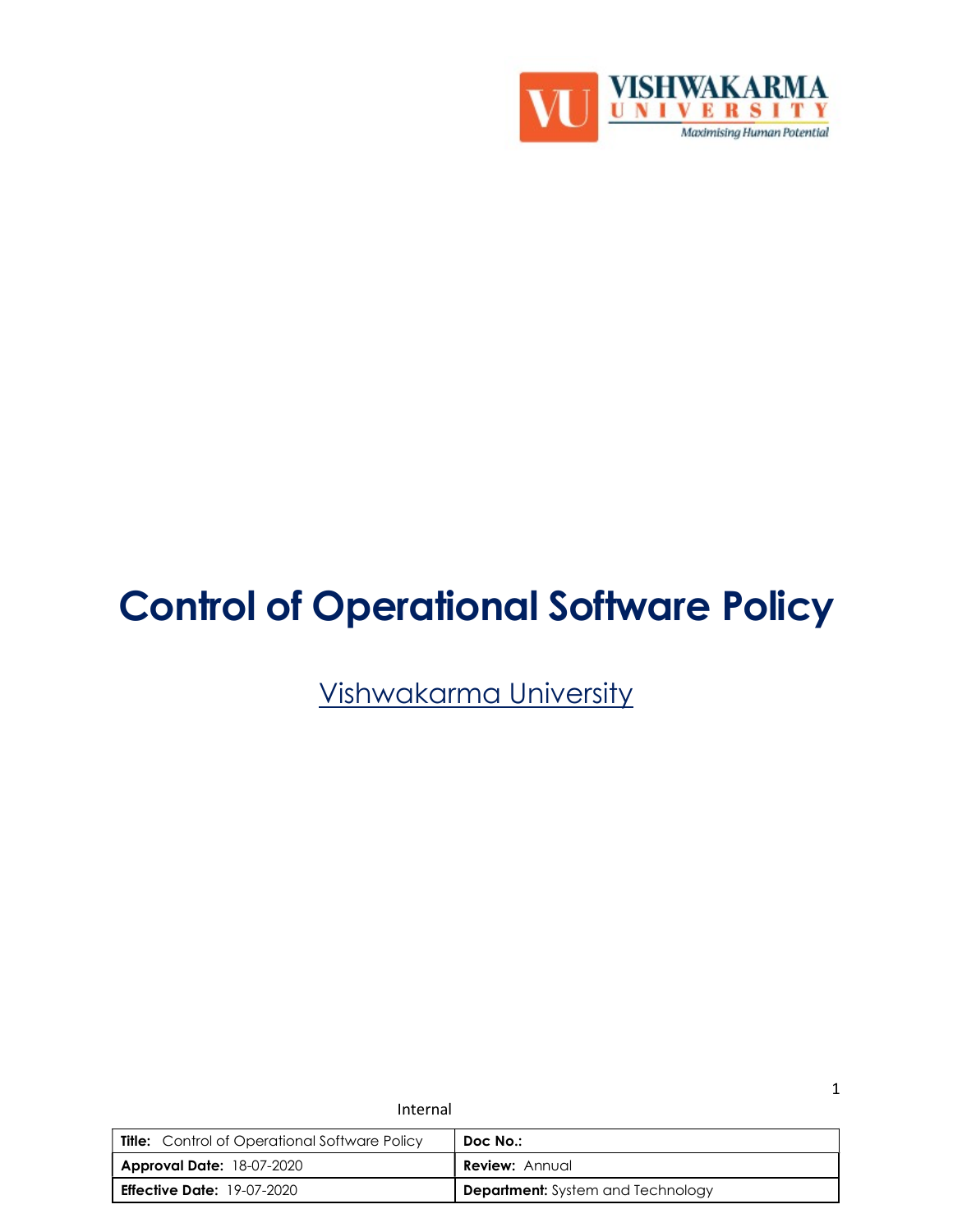

# Control of Operational Software Policy

Vishwakarma University

| <b>Title:</b> Control of Operational Software Policy | Doc No.:                                 |
|------------------------------------------------------|------------------------------------------|
| <b>Approval Date: 18-07-2020</b>                     | <b>Review: Annual</b>                    |
| <b>Effective Date: 19-07-2020</b>                    | <b>Department:</b> System and Technology |

Internal

1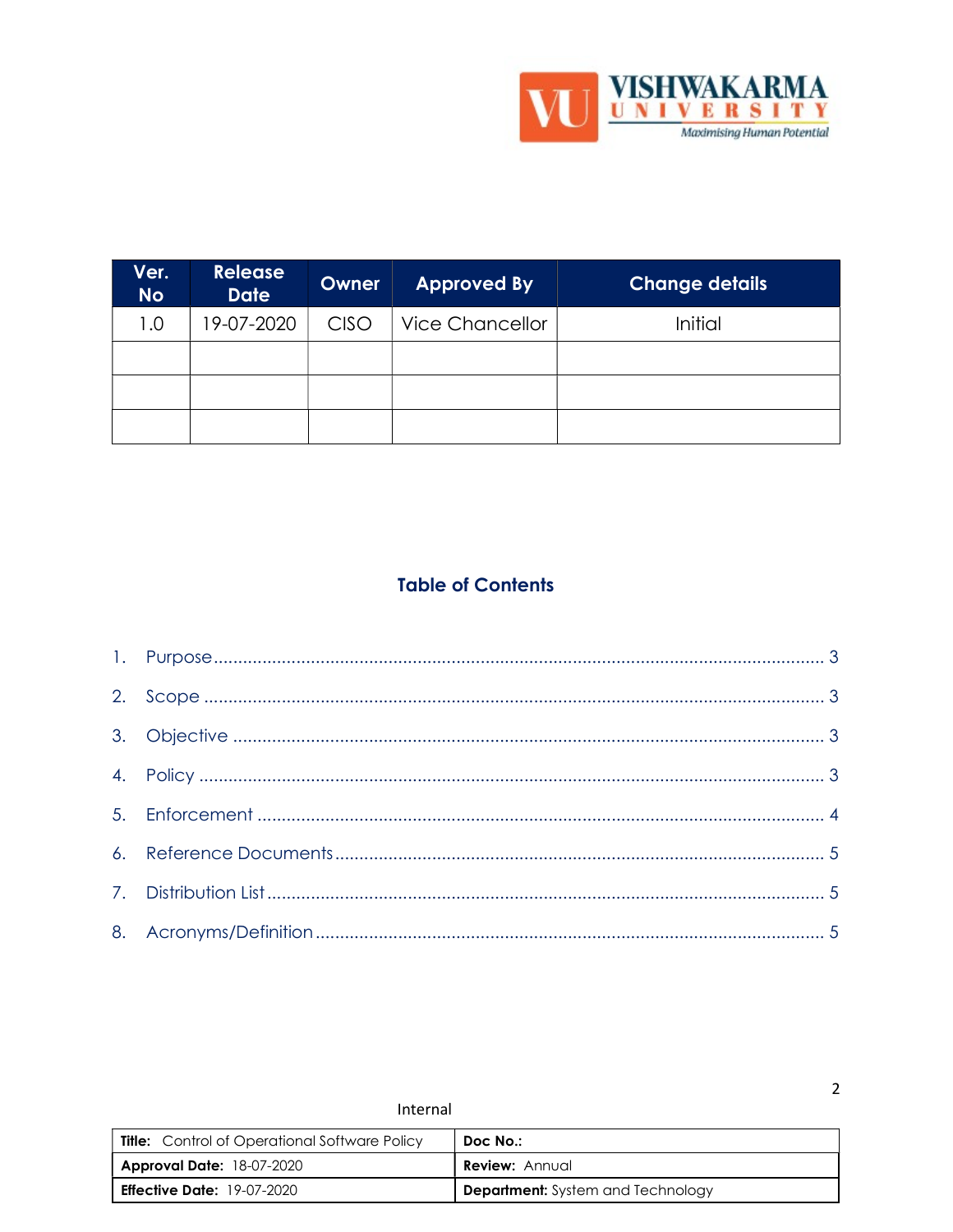

 $\overline{2}$ 

| Ver.<br><b>No</b> | <b>Release</b><br><b>Date</b> | Owner       | <b>Approved By</b>     | <b>Change details</b> |
|-------------------|-------------------------------|-------------|------------------------|-----------------------|
| 1.0               | 19-07-2020                    | <b>CISO</b> | <b>Vice Chancellor</b> | Initial               |
|                   |                               |             |                        |                       |
|                   |                               |             |                        |                       |
|                   |                               |             |                        |                       |

# **Table of Contents**

| Internal                                             |                                          |  |
|------------------------------------------------------|------------------------------------------|--|
| <b>Title:</b> Control of Operational Software Policy | Doc No.:                                 |  |
| <b>Approval Date: 18-07-2020</b>                     | <b>Review:</b> Annual                    |  |
| <b>Effective Date:</b> $19-07-2020$                  | <b>Department:</b> System and Technology |  |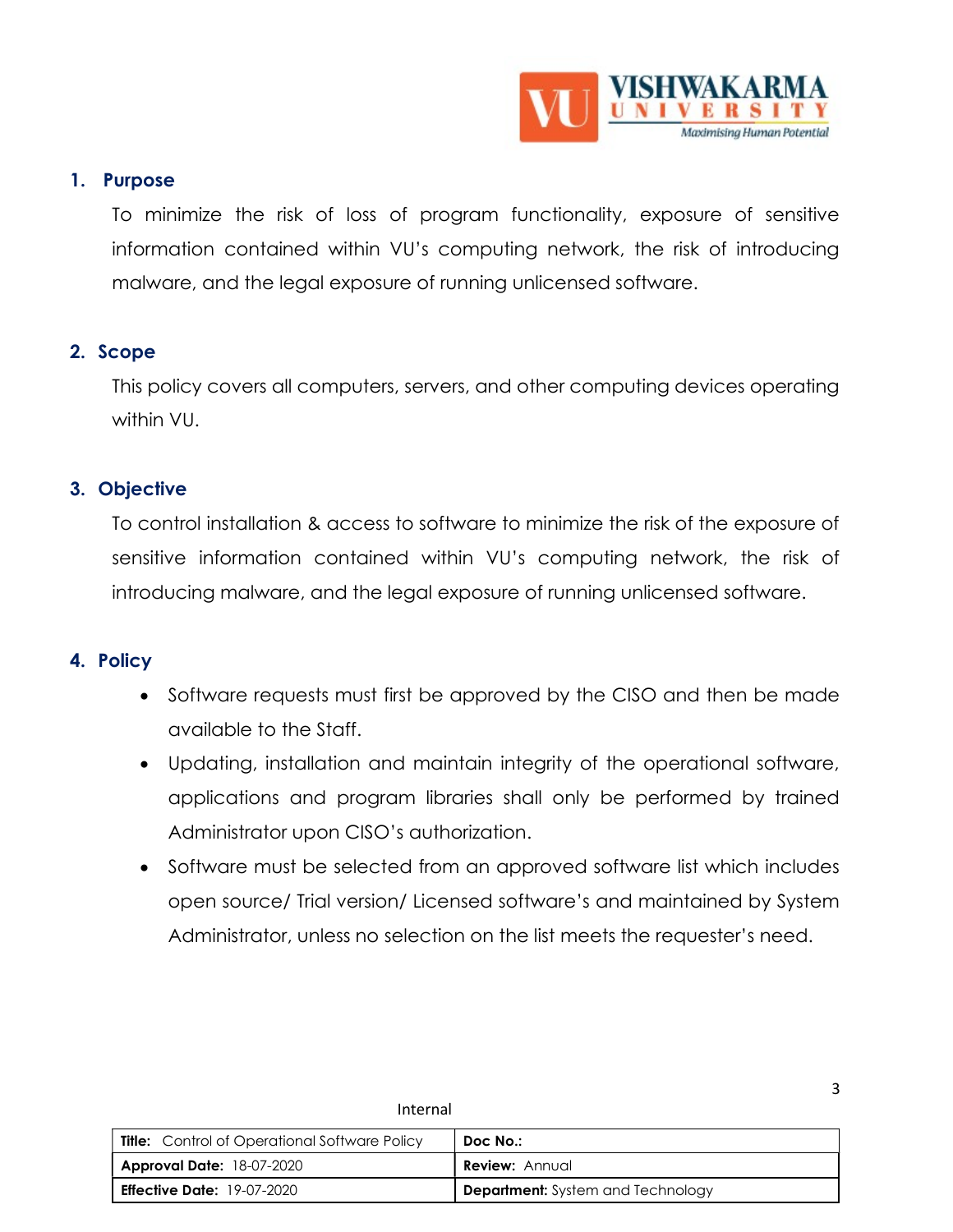

3

#### 1. Purpose

To minimize the risk of loss of program functionality, exposure of sensitive information contained within VU's computing network, the risk of introducing malware, and the legal exposure of running unlicensed software.

#### 2. Scope

This policy covers all computers, servers, and other computing devices operating within VU.

## 3. Objective

To control installation & access to software to minimize the risk of the exposure of sensitive information contained within VU's computing network, the risk of introducing malware, and the legal exposure of running unlicensed software.

# 4. Policy

- Software requests must first be approved by the CISO and then be made available to the Staff.
- Updating, installation and maintain integrity of the operational software, applications and program libraries shall only be performed by trained Administrator upon CISO's authorization.
- Software must be selected from an approved software list which includes open source/ Trial version/ Licensed software's and maintained by System Administrator, unless no selection on the list meets the requester's need.

| <b>Title:</b> Control of Operational Software Policy | Doc No.:                                 |
|------------------------------------------------------|------------------------------------------|
| <b>Approval Date: 18-07-2020</b>                     | <b>Review:</b> Annual                    |
| <b>Effective Date:</b> $19-07-2020$                  | <b>Department:</b> System and Technology |

Internal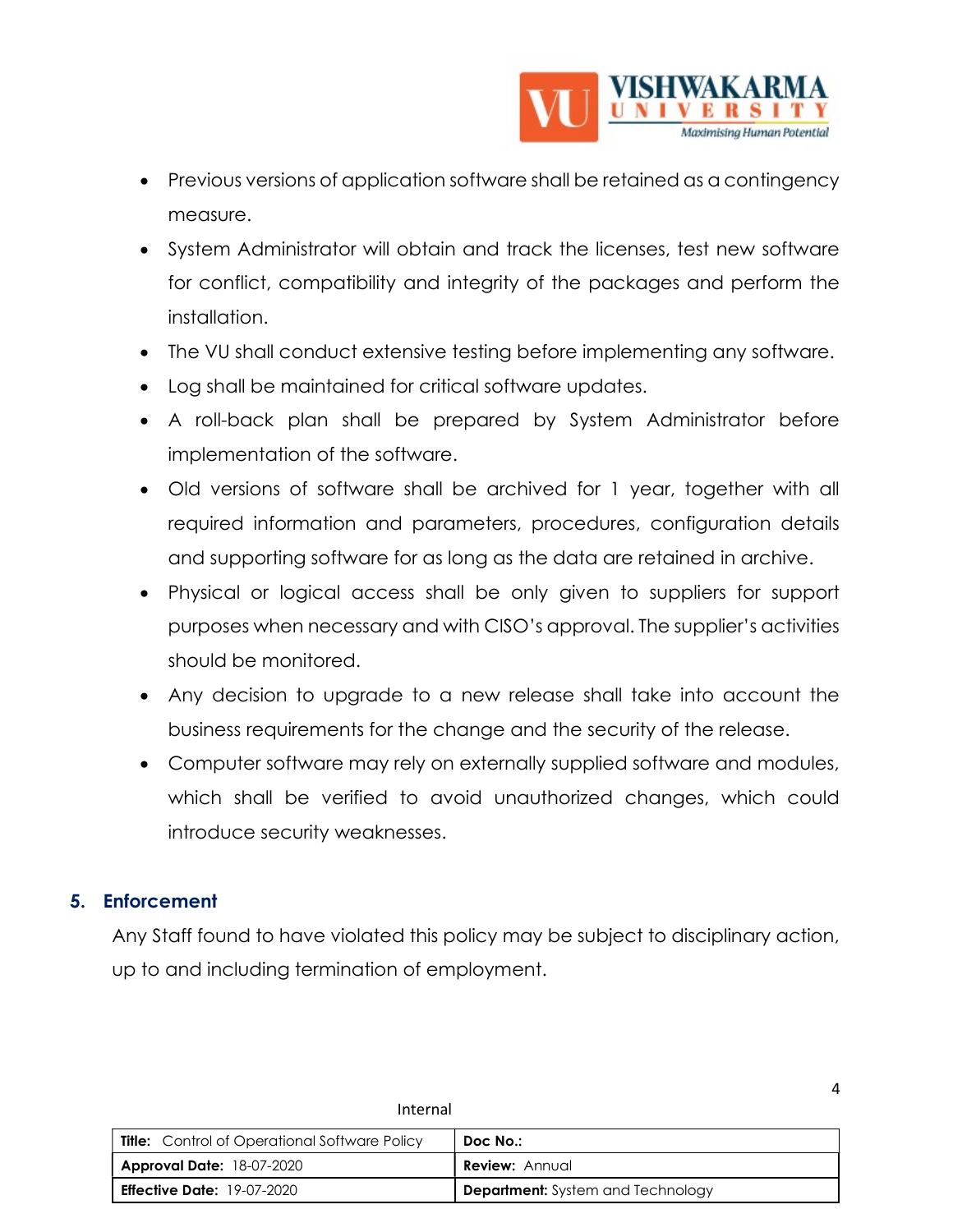

- Previous versions of application software shall be retained as a contingency measure.
- System Administrator will obtain and track the licenses, test new software for conflict, compatibility and integrity of the packages and perform the installation.
- The VU shall conduct extensive testing before implementing any software.
- Log shall be maintained for critical software updates.
- A roll-back plan shall be prepared by System Administrator before implementation of the software.
- Old versions of software shall be archived for 1 year, together with all required information and parameters, procedures, configuration details and supporting software for as long as the data are retained in archive.
- Physical or logical access shall be only given to suppliers for support purposes when necessary and with CISO's approval. The supplier's activities should be monitored.
- Any decision to upgrade to a new release shall take into account the business requirements for the change and the security of the release.
- Computer software may rely on externally supplied software and modules, which shall be verified to avoid unauthorized changes, which could introduce security weaknesses.

# 5. Enforcement

Any Staff found to have violated this policy may be subject to disciplinary action, up to and including termination of employment.

| <b>Title:</b> Control of Operational Software Policy | Doc No.:                                 |
|------------------------------------------------------|------------------------------------------|
| <b>Approval Date: 18-07-2020</b>                     | <b>Review: Annual</b>                    |
| <b>Effective Date:</b> 19-07-2020                    | <b>Department:</b> System and Technology |

Internal

4